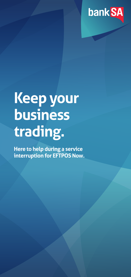

# **Keep your business trading.**

**Here to help during a service interruption for EFTPOS Now.**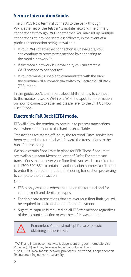## **Service Interruption Guide.**

The EFTPOS Now terminal connects to the bank through Wi-Fi, ethernet or the Telstra 4G mobile network. The primary connection is through Wi-Fi or ethernet. You may set up multiple connections, to provide seamless failovers, in the event of a particular connection being unavailable.

- If your Wi-Fi or ethernet connection is unavailable, you can continue to process transactions by connecting to the mobile network<sup>^\*</sup>.
- If the mobile network is unavailable, you can create a Wi-Fi hotspot to connect to<sup>^\*</sup>.
- If your terminal is unable to communicate with the bank, the terminal will automatically switch to Electronic Fall Back (EFB) mode.

In this guide, you'll learn more about EFB and how to connect to the mobile network, Wi-Fi or a Wi-Fi hotspot. For information on how to connect to ethernet, please refer to the EFTPOS Now User Guide.

## **Electronic Fall Back (EFB) mode.**

EFB will allow the terminal to continue to process transactions even when connection to the bank is unavailable.

Transactions are stored offline by the terminal. Once service has been restored, the terminal will forward the transactions to the bank for processing.

We have certain floor limits in place for EFB. These floor limits are available in your Merchant Letter of Offer. For credit card transactions that are over your floor limit, you will be required to call 1300 301 831 to obtain an authorisation number. You'll need to enter this number in the terminal during transaction processing to complete the transaction.

Note:

- EFB is only available when enabled on the terminal and for certain credit and debit card types.
- For debit card transactions that are over your floor limit, you will be required to seek an alternate form of payment.
- Signature capture is required on all EFB transactions regardless of the account selection or whether a PIN was entered.



Remember: You must not 'split' a sale to avoid obtaining authorisation.

 ^Wi-Fi and internet connectivity is dependent on your Internet Service Provider (ISP) and may be unavailable if your ISP is down. \*The EFTPOS Now mobile network provider is Telstra and is dependent on Telstra providing network availability.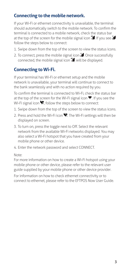### **Connecting to the mobile network.**

If your Wi-Fi or ethernet connectivity is unavailable, the terminal should automatically switch to the mobile network. To confirm the terminal is connected to a mobile network, check the status bar at the top of the screen for the mobile signal icon  $\mathscr{L}$  If you see  $\mathscr{\check{L}}$ follow the steps below to connect:

- 1. Swipe down from the top of the screen to view the status icons.
- 2. To connect, press the mobile signal icon  $\angle$  Once successfully connected, the mobile signal icon  $\mathcal{L}$ , will be displayed.

### **Connecting to Wi-Fi.**

If your terminal has Wi-Fi or ethernet setup and the mobile network is unavailable, your terminal will continue to connect to the bank seamlessly and with no action required by you.

To confirm the terminal is connected to Wi-Fi, check the status bar at the top of the screen for the Wi-Fi signal icon  $\blacksquare$ . If you see the Wi-Fi signal icon  $\ddot{\bullet}$ , follow the steps below to connect:

- 1. Swipe down from the top of the screen to view the status icons.
- 2. Press and hold the Wi-Fi icon  $\blacktriangledown$ . The Wi-Fi settings will then be displayed on screen.
- 3. To turn on, press the toggle next to Off. Select the relevant network from the available Wi-Fi networks displayed. You may also select a Wi-Fi hotspot that you have created from your mobile phone or other device.
- 4. Enter the network password and select CONNECT.

#### Note:

For more information on how to create a Wi-Fi hotspot using your mobile phone or other device, please refer to the relevant user guide supplied by your mobile phone or other device provider.

For information on how to check ethernet connectivity or to connect to ethernet, please refer to the EFTPOS Now User Guide.